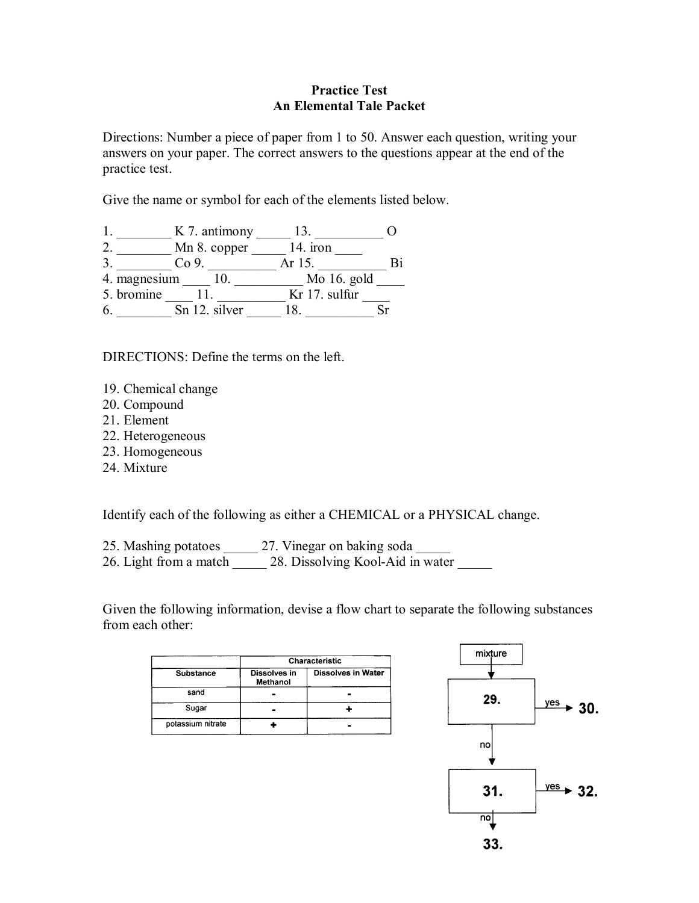## **Practice Test An Elemental Tale Packet**

Directions: Number a piece of paper from 1 to 50. Answer each question, writing your answers on your paper. The correct answers to the questions appear at the end of the practice test.

Give the name or symbol for each of the elements listed below.

|              | K 7. antimony   |               |  |
|--------------|-----------------|---------------|--|
|              | Mn 8. copper    | 14. iron      |  |
| 3            | Co <sub>9</sub> | Ar 15.        |  |
| 4. magnesium |                 | Mo $16.$ gold |  |
| 5. bromine   |                 | Kr 17. sulfur |  |
| 6.           | Sn 12. silver   |               |  |

DIRECTIONS: Define the terms on the left.

- 19. Chemical change
- 20. Compound
- 21. Element
- 22. Heterogeneous
- 23. Homogeneous
- 24. Mixture

Identify each of the following as either a CHEMICAL or a PHYSICAL change.

- 25. Mashing potatoes \_\_\_\_\_ 27. Vinegar on baking soda
- 26. Light from a match  $\overline{\hspace{1cm}}$  28. Dissolving Kool-Aid in water

Given the following information, devise a flow chart to separate the following substances from each other:

|                   | Characteristic           |                           |
|-------------------|--------------------------|---------------------------|
| <b>Substance</b>  | Dissolves in<br>Methanol | <b>Dissolves in Water</b> |
| sand              |                          |                           |
| Sugar             |                          |                           |
| potassium nitrate |                          |                           |

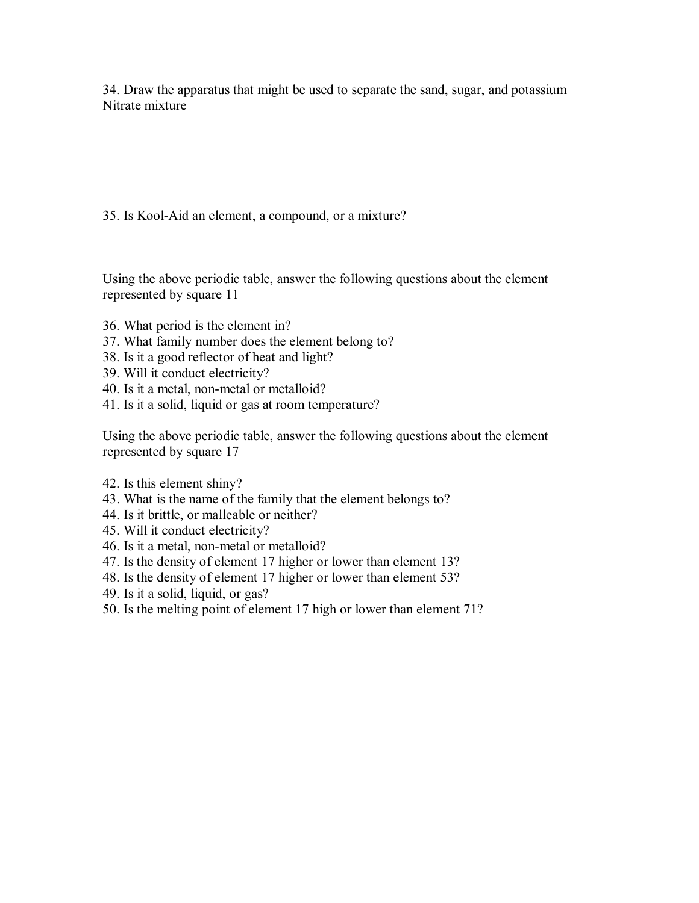34. Draw the apparatus that might be used to separate the sand, sugar, and potassium Nitrate mixture

35. Is Kool-Aid an element, a compound, or a mixture?

Using the above periodic table, answer the following questions about the element represented by square 11

- 36. What period is the element in?
- 37. What family number does the element belong to?
- 38. Is it a good reflector of heat and light?
- 39. Will it conduct electricity?
- 40. Is it a metal, non-metal or metalloid?
- 41. Is it a solid, liquid or gas at room temperature?

Using the above periodic table, answer the following questions about the element represented by square 17

- 42. Is this element shiny?
- 43. What is the name of the family that the element belongs to?
- 44. Is it brittle, or malleable or neither?
- 45. Will it conduct electricity?
- 46. Is it a metal, non-metal or metalloid?
- 47. Is the density of element 17 higher or lower than element 13?
- 48. Is the density of element 17 higher or lower than element 53?
- 49. Is it a solid, liquid, or gas?
- 50. Is the melting point of element 17 high or lower than element 71?